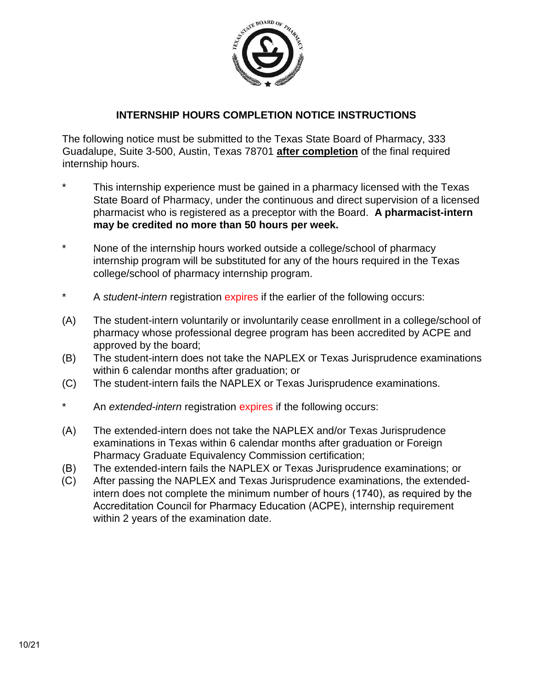

## **INTERNSHIP HOURS COMPLETION NOTICE INSTRUCTIONS**

The following notice must be submitted to the Texas State Board of Pharmacy, 333 Guadalupe, Suite 3-500, Austin, Texas 78701 **after completion** of the final required internship hours.

- This internship experience must be gained in a pharmacy licensed with the Texas State Board of Pharmacy, under the continuous and direct supervision of a licensed pharmacist who is registered as a preceptor with the Board. **A pharmacist-intern may be credited no more than 50 hours per week.**
- \* None of the internship hours worked outside a college/school of pharmacy internship program will be substituted for any of the hours required in the Texas college/school of pharmacy internship program.
- A *student-intern* registration expires if the earlier of the following occurs:
- (A) The student-intern voluntarily or involuntarily cease enrollment in a college/school of pharmacy whose professional degree program has been accredited by ACPE and approved by the board;
- (B) The student-intern does not take the NAPLEX or Texas Jurisprudence examinations within 6 calendar months after graduation; or
- (C) The student-intern fails the NAPLEX or Texas Jurisprudence examinations.
- An *extended-intern* registration *expires* if the following occurs:
- (A) The extended-intern does not take the NAPLEX and/or Texas Jurisprudence examinations in Texas within 6 calendar months after graduation or Foreign Pharmacy Graduate Equivalency Commission certification;
- (B) The extended-intern fails the NAPLEX or Texas Jurisprudence examinations; or
- (C) After passing the NAPLEX and Texas Jurisprudence examinations, the extendedintern does not complete the minimum number of hours (1740), as required by the Accreditation Council for Pharmacy Education (ACPE), internship requirement within 2 years of the examination date.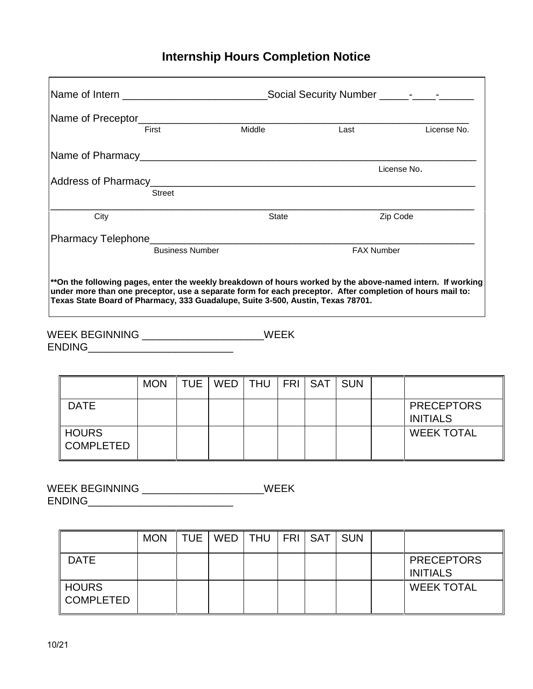## **Internship Hours Completion Notice**

|                                                                                                                                                                                                                                                                                                            | Social Security Number _____--_--_- |              |                   |             |  |  |  |  |  |  |
|------------------------------------------------------------------------------------------------------------------------------------------------------------------------------------------------------------------------------------------------------------------------------------------------------------|-------------------------------------|--------------|-------------------|-------------|--|--|--|--|--|--|
|                                                                                                                                                                                                                                                                                                            | First                               | Middle       | Last              | License No. |  |  |  |  |  |  |
|                                                                                                                                                                                                                                                                                                            |                                     |              |                   |             |  |  |  |  |  |  |
|                                                                                                                                                                                                                                                                                                            |                                     |              |                   | License No. |  |  |  |  |  |  |
|                                                                                                                                                                                                                                                                                                            | Street                              |              |                   |             |  |  |  |  |  |  |
| City                                                                                                                                                                                                                                                                                                       |                                     | <b>State</b> |                   | Zip Code    |  |  |  |  |  |  |
| Pharmacy Telephone__________________                                                                                                                                                                                                                                                                       |                                     |              |                   |             |  |  |  |  |  |  |
|                                                                                                                                                                                                                                                                                                            | <b>Business Number</b>              |              | <b>FAX Number</b> |             |  |  |  |  |  |  |
| **On the following pages, enter the weekly breakdown of hours worked by the above-named intern. If working<br>under more than one preceptor, use a separate form for each preceptor. After completion of hours mail to:<br>Texas State Board of Pharmacy, 333 Guadalupe, Suite 3-500, Austin, Texas 78701. |                                     |              |                   |             |  |  |  |  |  |  |

WEEK BEGINNING \_\_\_\_\_\_\_\_\_\_\_\_\_\_\_\_\_\_\_\_\_WEEK

ENDING\_\_\_\_\_\_\_\_\_\_\_\_\_\_\_\_\_\_\_\_\_\_\_\_\_

|                                  | <b>MON</b> | TUE | WED   THU   FRI   SAT |  | <b>SUN</b> |                                      |
|----------------------------------|------------|-----|-----------------------|--|------------|--------------------------------------|
| <b>DATE</b>                      |            |     |                       |  |            | <b>PRECEPTORS</b><br><b>INITIALS</b> |
| <b>HOURS</b><br><b>COMPLETED</b> |            |     |                       |  |            | <b>WEEK TOTAL</b>                    |

|                                | <b>MON</b> | TUE   WED   THU   FRI   SAT |  | <b>SUN</b> |                                      |
|--------------------------------|------------|-----------------------------|--|------------|--------------------------------------|
| <b>DATE</b>                    |            |                             |  |            | <b>PRECEPTORS</b><br><b>INITIALS</b> |
| $\parallel$ HOURS<br>COMPLETED |            |                             |  |            | <b>WEEK TOTAL</b>                    |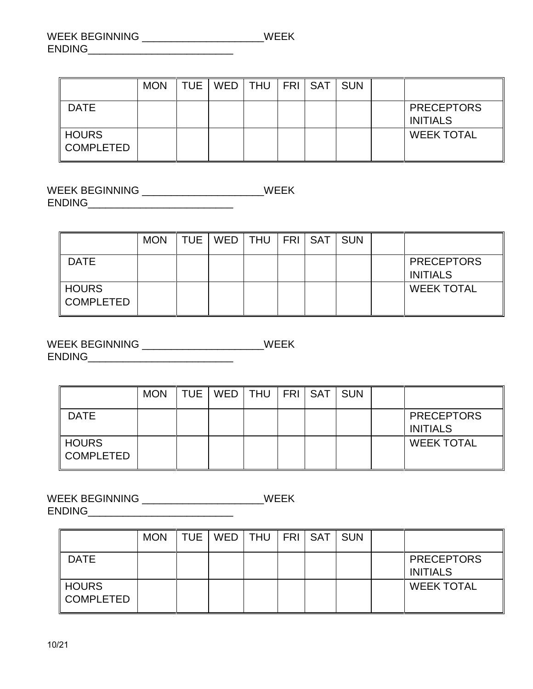|                                  | <b>MON</b> | TUE   WED   THU   FRI   SAT   SUN |  |  |                                      |
|----------------------------------|------------|-----------------------------------|--|--|--------------------------------------|
| <b>DATE</b>                      |            |                                   |  |  | <b>PRECEPTORS</b><br><b>INITIALS</b> |
| <b>HOURS</b><br><b>COMPLETED</b> |            |                                   |  |  | <b>WEEK TOTAL</b>                    |

WEEK BEGINNING \_\_\_\_\_\_\_\_\_\_\_\_\_\_\_\_\_\_\_\_\_WEEK ENDING\_\_\_\_\_\_\_\_\_\_\_\_\_\_\_\_\_\_\_\_\_\_\_\_\_

|                                  | <b>MON</b> | TUE   WED   THU   FRI   SAT |  | <b>SUN</b> |                                      |
|----------------------------------|------------|-----------------------------|--|------------|--------------------------------------|
| <b>DATE</b>                      |            |                             |  |            | <b>PRECEPTORS</b><br><b>INITIALS</b> |
| <b>HOURS</b><br><b>COMPLETED</b> |            |                             |  |            | <b>WEEK TOTAL</b>                    |

WEEK BEGINNING \_\_\_\_\_\_\_\_\_\_\_\_\_\_\_\_\_\_\_\_\_\_\_\_\_\_WEEK ENDING\_\_\_\_\_\_\_\_\_\_\_\_\_\_\_\_\_\_\_\_\_\_\_\_\_

|                           | <b>MON</b> | TUE I | WED   THU   FRI   SAT |  | <b>SUN</b> |                                      |
|---------------------------|------------|-------|-----------------------|--|------------|--------------------------------------|
| <b>DATE</b>               |            |       |                       |  |            | <b>PRECEPTORS</b><br><b>INITIALS</b> |
| <b>HOURS</b><br>COMPLETED |            |       |                       |  |            | <b>WEEK TOTAL</b>                    |

|                                | <b>MON</b> | <b>TUE</b> | WED   THU |  | FRI   SAT | <b>SUN</b> |                                      |
|--------------------------------|------------|------------|-----------|--|-----------|------------|--------------------------------------|
| <b>DATE</b>                    |            |            |           |  |           |            | <b>PRECEPTORS</b><br><b>INITIALS</b> |
| $\parallel$ HOURS<br>COMPLETED |            |            |           |  |           |            | <b>WEEK TOTAL</b>                    |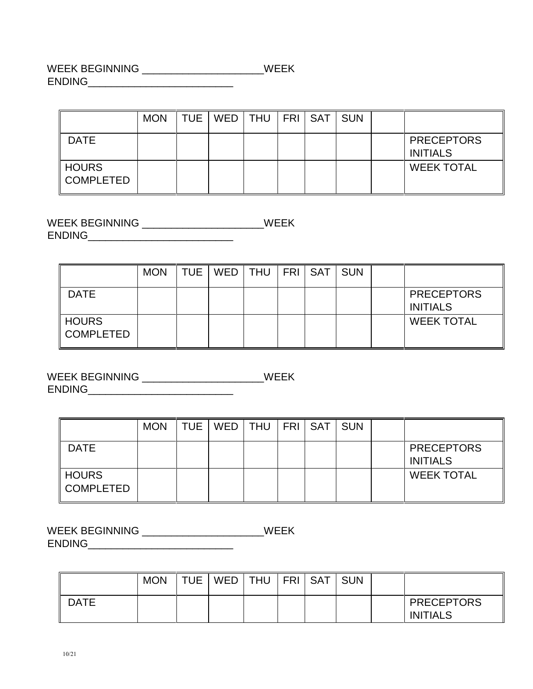WEEK BEGINNING \_\_\_\_\_\_\_\_\_\_\_\_\_\_\_\_\_\_\_\_\_WEEK ENDING\_\_\_\_\_\_\_\_\_\_\_\_\_\_\_\_\_\_\_\_\_\_\_\_\_

|                                  | <b>MON</b> | <b>TUE</b> |  |  | <b>SUN</b> |                                      |
|----------------------------------|------------|------------|--|--|------------|--------------------------------------|
| <b>DATE</b>                      |            |            |  |  |            | <b>PRECEPTORS</b><br><b>INITIALS</b> |
| <b>HOURS</b><br><b>COMPLETED</b> |            |            |  |  |            | <b>WEEK TOTAL</b>                    |

WEEK BEGINNING \_\_\_\_\_\_\_\_\_\_\_\_\_\_\_\_\_\_\_\_\_WEEK ENDING\_\_\_\_\_\_\_\_\_\_\_\_\_\_\_\_\_\_\_\_\_\_\_\_\_

|                                  | <b>MON</b> | <b>TUE</b> | WED   THU   FRI   SAT |  | <b>SUN</b> |                                      |
|----------------------------------|------------|------------|-----------------------|--|------------|--------------------------------------|
| <b>DATE</b>                      |            |            |                       |  |            | <b>PRECEPTORS</b><br><b>INITIALS</b> |
| <b>HOURS</b><br><b>COMPLETED</b> |            |            |                       |  |            | <b>WEEK TOTAL</b>                    |

WEEK BEGINNING \_\_\_\_\_\_\_\_\_\_\_\_\_\_\_\_\_\_\_\_\_WEEK ENDING\_\_\_\_\_\_\_\_\_\_\_\_\_\_\_\_\_\_\_\_\_\_\_\_\_

|                                  | <b>MON</b> | TUE   WED   THU   FRI   SAT |  | <b>SUN</b> |                                      |
|----------------------------------|------------|-----------------------------|--|------------|--------------------------------------|
| <b>DATE</b>                      |            |                             |  |            | <b>PRECEPTORS</b><br><b>INITIALS</b> |
| <b>HOURS</b><br><b>COMPLETED</b> |            |                             |  |            | <b>WEEK TOTAL</b>                    |

|             | <b>MON</b> | <b>TUE</b> | WED | <b>THU</b> | <b>FRI</b> | <b>SAT</b> | <b>SUN</b> |                                      |
|-------------|------------|------------|-----|------------|------------|------------|------------|--------------------------------------|
| <b>DATE</b> |            |            |     |            |            |            |            | <b>PRECEPTORS</b><br><b>INITIALS</b> |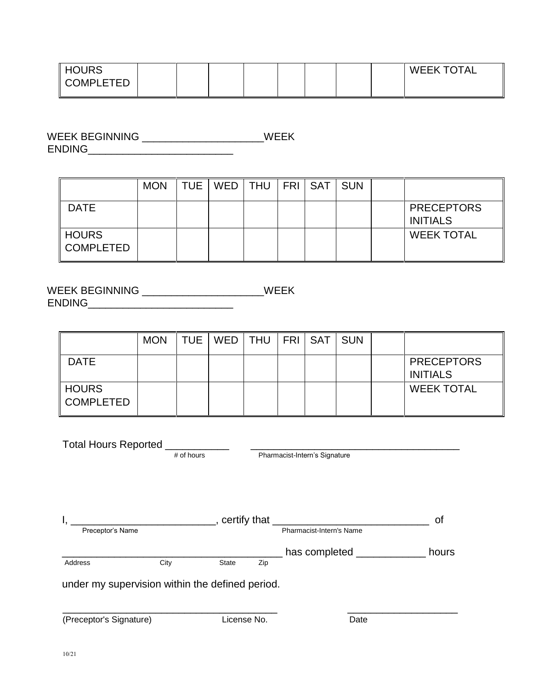| <b>HOURS</b>     |  |  |  |  | <b>WEEK TOTAL</b> |
|------------------|--|--|--|--|-------------------|
| <b>COMPLETED</b> |  |  |  |  |                   |
|                  |  |  |  |  |                   |

WEEK BEGINNING \_\_\_\_\_\_\_\_\_\_\_\_\_\_\_\_\_\_\_\_\_WEEK ENDING\_\_\_\_\_\_\_\_\_\_\_\_\_\_\_\_\_\_\_\_\_\_\_\_\_

|                                  | <b>MON</b> | TUE I | WED   THU   FRI   SAT |  | <b>SUN</b> |                                      |
|----------------------------------|------------|-------|-----------------------|--|------------|--------------------------------------|
| <b>DATE</b>                      |            |       |                       |  |            | <b>PRECEPTORS</b><br><b>INITIALS</b> |
| <b>HOURS</b><br><b>COMPLETED</b> |            |       |                       |  |            | <b>WEEK TOTAL</b>                    |

|                                  | <b>MON</b> | <b>TUE</b> | WED   THU   FRI   SAT |  | <b>SUN</b> |                                      |
|----------------------------------|------------|------------|-----------------------|--|------------|--------------------------------------|
| <b>DATE</b>                      |            |            |                       |  |            | <b>PRECEPTORS</b><br><b>INITIALS</b> |
| <b>HOURS</b><br><b>COMPLETED</b> |            |            |                       |  |            | <b>WEEK TOTAL</b>                    |

| <b>Total Hours Reported</b>                     |            |                             |     |                               |       |  |  |  |
|-------------------------------------------------|------------|-----------------------------|-----|-------------------------------|-------|--|--|--|
|                                                 | # of hours |                             |     | Pharmacist-Intern's Signature |       |  |  |  |
|                                                 |            |                             |     |                               |       |  |  |  |
|                                                 |            | , certify that <sub>-</sub> |     |                               | οf    |  |  |  |
| Preceptor's Name                                |            |                             |     | Pharmacist-Intern's Name      |       |  |  |  |
|                                                 |            |                             |     | has completed                 | hours |  |  |  |
| Address                                         | City       | <b>State</b>                | Zip |                               |       |  |  |  |
| under my supervision within the defined period. |            |                             |     |                               |       |  |  |  |
| (Preceptor's Signature)                         |            | License No.                 |     | Date                          |       |  |  |  |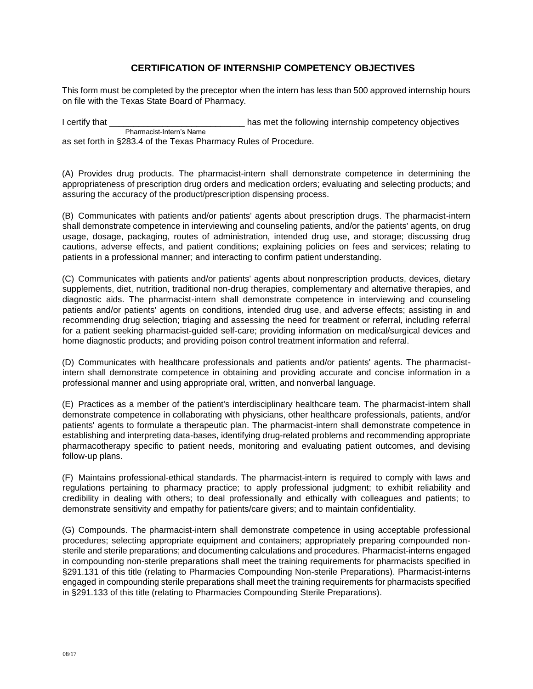## **CERTIFICATION OF INTERNSHIP COMPETENCY OBJECTIVES**

This form must be completed by the preceptor when the intern has less than 500 approved internship hours on file with the Texas State Board of Pharmacy.

I certify that **I** certify that **EXECUTE:** has met the following internship competency objectives Pharmacist-Intern's Name

as set forth in §283.4 of the Texas Pharmacy Rules of Procedure.

(A) Provides drug products. The pharmacist-intern shall demonstrate competence in determining the appropriateness of prescription drug orders and medication orders; evaluating and selecting products; and assuring the accuracy of the product/prescription dispensing process.

(B) Communicates with patients and/or patients' agents about prescription drugs. The pharmacist-intern shall demonstrate competence in interviewing and counseling patients, and/or the patients' agents, on drug usage, dosage, packaging, routes of administration, intended drug use, and storage; discussing drug cautions, adverse effects, and patient conditions; explaining policies on fees and services; relating to patients in a professional manner; and interacting to confirm patient understanding.

(C) Communicates with patients and/or patients' agents about nonprescription products, devices, dietary supplements, diet, nutrition, traditional non-drug therapies, complementary and alternative therapies, and diagnostic aids. The pharmacist-intern shall demonstrate competence in interviewing and counseling patients and/or patients' agents on conditions, intended drug use, and adverse effects; assisting in and recommending drug selection; triaging and assessing the need for treatment or referral, including referral for a patient seeking pharmacist-guided self-care; providing information on medical/surgical devices and home diagnostic products; and providing poison control treatment information and referral.

(D) Communicates with healthcare professionals and patients and/or patients' agents. The pharmacistintern shall demonstrate competence in obtaining and providing accurate and concise information in a professional manner and using appropriate oral, written, and nonverbal language.

(E) Practices as a member of the patient's interdisciplinary healthcare team. The pharmacist-intern shall demonstrate competence in collaborating with physicians, other healthcare professionals, patients, and/or patients' agents to formulate a therapeutic plan. The pharmacist-intern shall demonstrate competence in establishing and interpreting data-bases, identifying drug-related problems and recommending appropriate pharmacotherapy specific to patient needs, monitoring and evaluating patient outcomes, and devising follow-up plans.

(F) Maintains professional-ethical standards. The pharmacist-intern is required to comply with laws and regulations pertaining to pharmacy practice; to apply professional judgment; to exhibit reliability and credibility in dealing with others; to deal professionally and ethically with colleagues and patients; to demonstrate sensitivity and empathy for patients/care givers; and to maintain confidentiality.

(G) Compounds. The pharmacist-intern shall demonstrate competence in using acceptable professional procedures; selecting appropriate equipment and containers; appropriately preparing compounded nonsterile and sterile preparations; and documenting calculations and procedures. Pharmacist-interns engaged in compounding non-sterile preparations shall meet the training requirements for pharmacists specified in §291.131 of this title (relating to Pharmacies Compounding Non-sterile Preparations). Pharmacist-interns engaged in compounding sterile preparations shall meet the training requirements for pharmacists specified in §291.133 of this title (relating to Pharmacies Compounding Sterile Preparations).